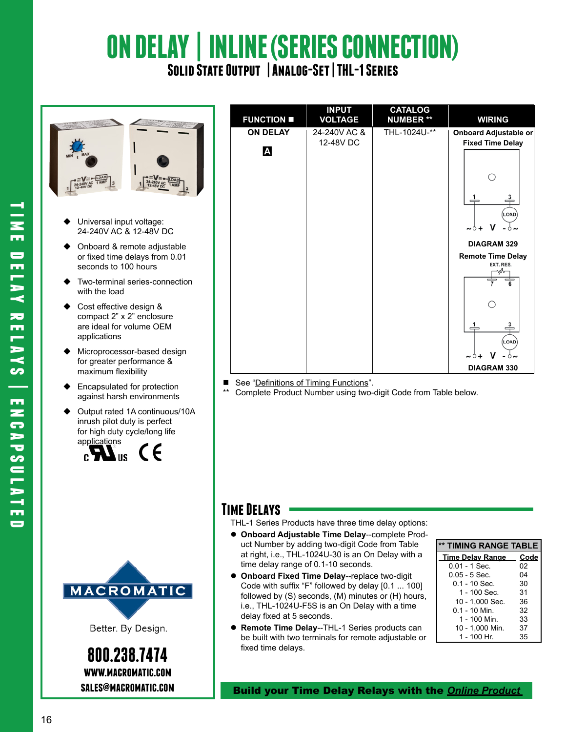# **ON DELAY | INLINE (SERIES CONNECTION) Solid State Output | Analog-Set | THL-1 Series**



- Universal input voltage: 24-240V AC & 12-48V DC
- Onboard & remote adjustable or fixed time delays from 0.01 seconds to 100 hours
- Two-terminal series-connection with the load
- Cost effective design & compact 2" x 2" enclosure are ideal for volume OEM applications
- Microprocessor-based design for greater performance & maximum flexibility
- ◆ Encapsulated for protection against harsh environments
- Output rated 1A continuous/10A inrush pilot duty is perfect for high duty cycle/long life







**800.238.7474 www.macromatic.com sales@macromatic.com**

| <b>FUNCTION </b>     | <b>INPUT</b><br><b>VOLTAGE</b> | <b>CATALOG</b><br><b>NUMBER **</b> | <b>WIRING</b>                                    |
|----------------------|--------------------------------|------------------------------------|--------------------------------------------------|
| <b>ON DELAY</b><br>Α | 24-240V AC &<br>12-48V DC      | THL-1024U-**                       | Onboard Adjustable or<br><b>Fixed Time Delay</b> |
|                      |                                |                                    | ≟<br>LOAD)<br>$\sim\circ +$ V<br>-ò∼             |
|                      |                                |                                    | <b>DIAGRAM 329</b>                               |
|                      |                                |                                    | <b>Remote Time Delay</b><br>EXT. RES.            |
|                      |                                |                                    | з<br>LOAD <sup>1</sup>                           |
|                      |                                |                                    | $\sim$ 0 +<br>DIAGRAM 330                        |

See "Definitions of Timing Functions".

Complete Product Number using two-digit Code from Table below.

### **Time Delays**

THL-1 Series Products have three time delay options:

- **Onboard Adjustable Time Delay**--complete Product Number by adding two-digit Code from Table at right, i.e., THL-1024U-30 is an On Delay with a time delay range of 0.1-10 seconds.
- **Onboard Fixed Time Delay**--replace two-digit Code with suffix "F" followed by delay [0.1 ... 100] followed by (S) seconds, (M) minutes or (H) hours, i.e., THL-1024U-F5S is an On Delay with a time delay fixed at 5 seconds.
- **Remote Time Delay**--THL-1 Series products can be built with two terminals for remote adjustable or fixed time delays.

| ** TIMING RANGE TABLE   |      |  |
|-------------------------|------|--|
| <b>Time Delay Range</b> | Code |  |
| $0.01 - 1$ Sec.         | 02   |  |
| $0.05 - 5$ Sec.         | 04   |  |
| $0.1 - 10$ Sec.         | 30   |  |
| 1 - 100 Sec.            | 31   |  |
| 10 - 1.000 Sec.         | 36   |  |
| $0.1 - 10$ Min.         | 32   |  |
| 1 - 100 Min.            | 33   |  |
| 10 - 1,000 Min.         | 37   |  |
| 1 - 100 Hr              | 35   |  |

Build your Time Delay Relays with the *Online [Product](http:/http://www.macromatic.com/product-builder/home/)*